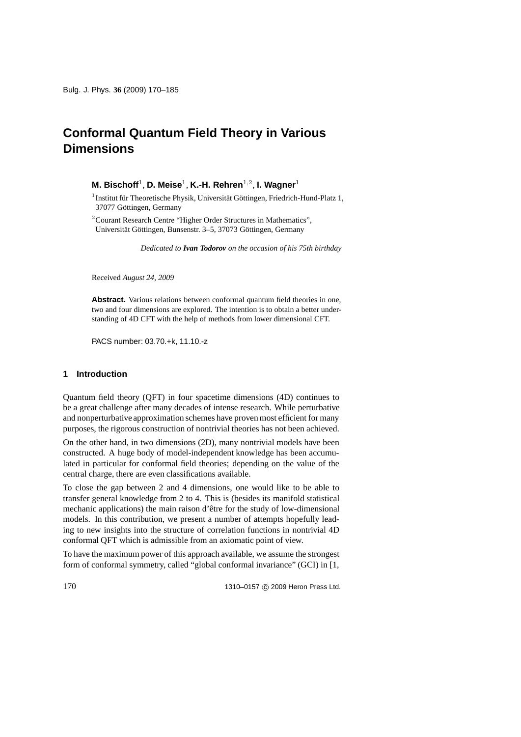**M. Bischoff**<sup>1</sup>, **D. Meise**<sup>1</sup>, **K.-H. Rehren**<sup>1</sup>,2, **I. Wagner**<sup>1</sup>

 $1$ Institut für Theoretische Physik, Universität Göttingen, Friedrich-Hund-Platz 1, 37077 Göttingen, Germany

<sup>2</sup>Courant Research Centre "Higher Order Structures in Mathematics", Universität Göttingen, Bunsenstr. 3–5, 37073 Göttingen, Germany

*Dedicated to Ivan Todorov on the occasion of his 75th birthday*

Received *August 24, 2009*

Abstract. Various relations between conformal quantum field theories in one, two and four dimensions are explored. The intention is to obtain a better understanding of 4D CFT with the help of methods from lower dimensional CFT.

PACS number: 03.70.+k, 11.10.-z

# **1 Introduction**

Quantum field theory (QFT) in four spacetime dimensions (4D) continues to be a great challenge after many decades of intense research. While perturbative and nonperturbative approximation schemes have proven most efficient for many purposes, the rigorous construction of nontrivial theories has not been achieved.

On the other hand, in two dimensions (2D), many nontrivial models have been constructed. A huge body of model-independent knowledge has been accumulated in particular for conformal field theories; depending on the value of the central charge, there are even classifications available.

To close the gap between 2 and 4 dimensions, one would like to be able to transfer general knowledge from 2 to 4. This is (besides its manifold statistical mechanic applications) the main raison d'être for the study of low-dimensional models. In this contribution, we present a number of attempts hopefully leading to new insights into the structure of correlation functions in nontrivial 4D conformal QFT which is admissible from an axiomatic point of view.

To have the maximum power of this approach available, we assume the strongest form of conformal symmetry, called "global conformal invariance" (GCI) in [1,

1310–0157 © 2009 Heron Press Ltd.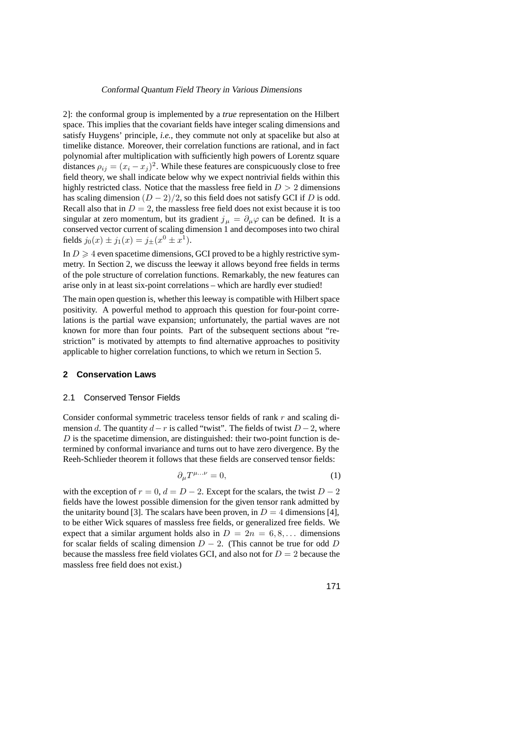2]: the conformal group is implemented by a *true* representation on the Hilbert space. This implies that the covariant fields have integer scaling dimensions and satisfy Huygens' principle, *i.e.*, they commute not only at spacelike but also at timelike distance. Moreover, their correlation functions are rational, and in fact polynomial after multiplication with sufficiently high powers of Lorentz square distances  $\rho_{ij} = (x_i - x_j)^2$ . While these features are conspicuously close to free field theory, we shall indicate below why we expect nontrivial fields within this highly restricted class. Notice that the massless free field in  $D > 2$  dimensions has scaling dimension  $(D-2)/2$ , so this field does not satisfy GCI if D is odd. Recall also that in  $D = 2$ , the massless free field does not exist because it is too singular at zero momentum, but its gradient  $j_{\mu} = \partial_{\mu}\varphi$  can be defined. It is a conserved vector current of scaling dimension 1 and decomposes into two chiral fields  $j_0(x) \pm j_1(x) = j_{\pm}(x^0 \pm x^1)$ .

In  $D \geq 4$  even spacetime dimensions, GCI proved to be a highly restrictive symmetry. In Section 2, we discuss the leeway it allows beyond free fields in terms of the pole structure of correlation functions. Remarkably, the new features can arise only in at least six-point correlations – which are hardly ever studied!

The main open question is, whether this leeway is compatible with Hilbert space positivity. A powerful method to approach this question for four-point correlations is the partial wave expansion; unfortunately, the partial waves are not known for more than four points. Part of the subsequent sections about "restriction" is motivated by attempts to find alternative approaches to positivity applicable to higher correlation functions, to which we return in Section 5.

# **2 Conservation Laws**

## 2.1 Conserved Tensor Fields

Consider conformal symmetric traceless tensor fields of rank r and scaling dimension d. The quantity  $d-r$  is called "twist". The fields of twist  $D-2$ , where  $D$  is the spacetime dimension, are distinguished: their two-point function is determined by conformal invariance and turns out to have zero divergence. By the Reeh-Schlieder theorem it follows that these fields are conserved tensor fields:

$$
\partial_{\mu}T^{\mu...\nu} = 0,\tag{1}
$$

with the exception of  $r = 0$ ,  $d = D - 2$ . Except for the scalars, the twist  $D - 2$ fields have the lowest possible dimension for the given tensor rank admitted by the unitarity bound [3]. The scalars have been proven, in  $D = 4$  dimensions [4], to be either Wick squares of massless free fields, or generalized free fields. We expect that a similar argument holds also in  $D = 2n = 6, 8, \dots$  dimensions for scalar fields of scaling dimension  $D - 2$ . (This cannot be true for odd D because the massless free field violates GCI, and also not for  $D = 2$  because the massless free field does not exist.)

$$
171
$$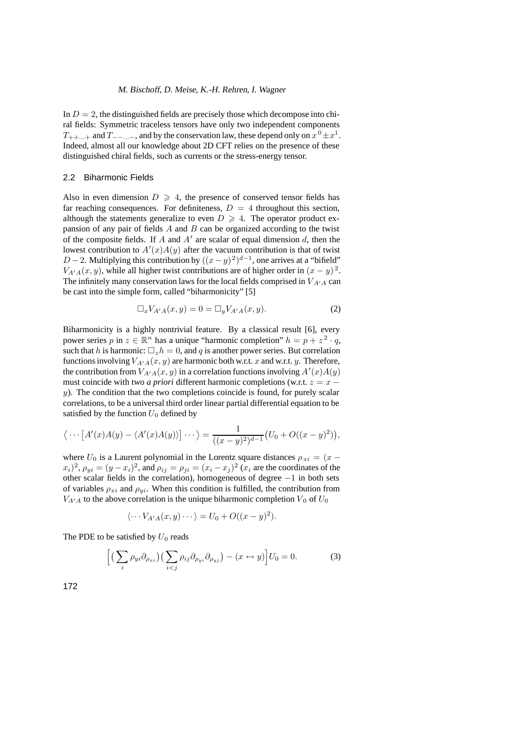In  $D = 2$ , the distinguished fields are precisely those which decompose into chiral fields: Symmetric traceless tensors have only two independent components  $T_{++...+}$  and  $T_{--...-}$ , and by the conservation law, these depend only on  $x^0 \pm x^1$ . Indeed, almost all our knowledge about 2D CFT relies on the presence of these distinguished chiral fields, such as currents or the stress-energy tensor.

## 2.2 Biharmonic Fields

Also in even dimension  $D \ge 4$ , the presence of conserved tensor fields has far reaching consequences. For definiteness,  $D = 4$  throughout this section, although the statements generalize to even  $D \ge 4$ . The operator product expansion of any pair of fields  $\ddot{A}$  and  $\ddot{B}$  can be organized according to the twist of the composite fields. If  $A$  and  $A'$  are scalar of equal dimension  $d$ , then the lowest contribution to  $A'(x)A(y)$  after the vacuum contribution is that of twist  $D-2$ . Multiplying this contribution by  $((x-y)^2)^{d-1}$ , one arrives at a "bifield"  $V_{A'A}(x, y)$ , while all higher twist contributions are of higher order in  $(x - y)^2$ . The infinitely many conservation laws for the local fields comprised in  $V_{A'A}$  can be cast into the simple form, called "biharmonicity" [5]

$$
\Box_x V_{A'A}(x, y) = 0 = \Box_y V_{A'A}(x, y). \tag{2}
$$

Biharmonicity is a highly nontrivial feature. By a classical result [6], every power series p in  $z \in \mathbb{R}^n$  has a unique "harmonic completion"  $h = p + z^2 \cdot q$ , such that h is harmonic:  $\Box_{z}h = 0$ , and q is another power series. But correlation functions involving  $V_{A'A}(x, y)$  are harmonic both w.r.t. x and w.r.t. y. Therefore, the contribution from  $V_{A'A}(x, y)$  in a correlation functions involving  $A'(x)A(y)$ must coincide with two *a priori* different harmonic completions (w.r.t.  $z = x$  $y$ ). The condition that the two completions coincide is found, for purely scalar correlations, to be a universal third order linear partial differential equation to be satisfied by the function  $U_0$  defined by

$$
\langle \cdots [A'(x)A(y) - \langle A'(x)A(y) \rangle] \cdots \rangle = \frac{1}{((x-y)^2)^{d-1}} (U_0 + O((x-y)^2)),
$$

where  $U_0$  is a Laurent polynomial in the Lorentz square distances  $\rho_{xi} = (x (x_i)^2$ ,  $\rho_{yi} = (y - x_i)^2$ , and  $\rho_{ij} = \rho_{ji} = (x_i - x_j)^2 (x_i)$  are the coordinates of the other scalar fields in the correlation), homogeneous of degree −1 in both sets of variables  $\rho_{xi}$  and  $\rho_{yi}$ . When this condition is fulfilled, the contribution from  $V_{A'A}$  to the above correlation is the unique biharmonic completion  $V_0$  of  $U_0$ 

$$
\langle \cdots V_{A'A}(x,y) \cdots \rangle = U_0 + O((x-y)^2).
$$

The PDE to be satisfied by  $U_0$  reads

$$
\left[ \left( \sum_{i} \rho_{yi} \partial_{\rho_{xi}} \right) \left( \sum_{i < j} \rho_{ij} \partial_{\rho_{yi}} \partial_{\rho_{yj}} \right) - (x \leftrightarrow y) \right] U_0 = 0. \tag{3}
$$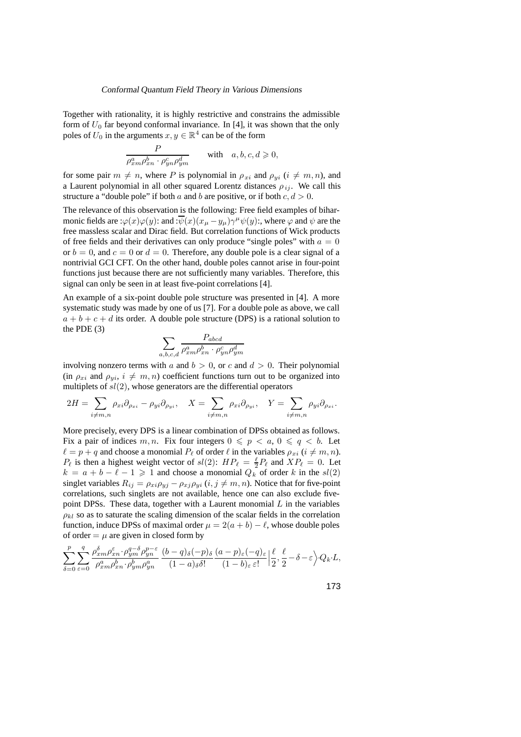Together with rationality, it is highly restrictive and constrains the admissible form of  $U_0$  far beyond conformal invariance. In [4], it was shown that the only poles of  $U_0$  in the arguments  $x, y \in \mathbb{R}^4$  can be of the form

$$
\frac{P}{\rho_{xm}^a \rho_{xn}^b \cdot \rho_{yn}^c \rho_{ym}^d}
$$
 with  $a, b, c, d \ge 0$ ,

for some pair  $m \neq n$ , where P is polynomial in  $\rho_{xi}$  and  $\rho_{yi}$  ( $i \neq m, n$ ), and a Laurent polynomial in all other squared Lorentz distances  $\rho_{ij}$ . We call this structure a "double pole" if both a and b are positive, or if both  $c, d > 0$ .

The relevance of this observation is the following: Free field examples of biharmonic fields are : $\varphi(x)\varphi(y)$ : and : $\overline{\psi}(x)(x_\mu-y_\mu)\gamma^\mu\psi(y)$ :, where  $\varphi$  and  $\psi$  are the free massless scalar and Dirac field. But correlation functions of Wick products of free fields and their derivatives can only produce "single poles" with  $a = 0$ or  $b = 0$ , and  $c = 0$  or  $d = 0$ . Therefore, any double pole is a clear signal of a nontrivial GCI CFT. On the other hand, double poles cannot arise in four-point functions just because there are not sufficiently many variables. Therefore, this signal can only be seen in at least five-point correlations [4].

An example of a six-point double pole structure was presented in [4]. A more systematic study was made by one of us [7]. For a double pole as above, we call  $a + b + c + d$  its order. A double pole structure (DPS) is a rational solution to the PDE (3)

$$
\sum_{a,b,c,d} \frac{P_{abcd}}{\rho_{xm}^a \rho_{xn}^b \cdot \rho_{yn}^c \rho_{ym}^d}
$$

involving nonzero terms with a and  $b > 0$ , or c and  $d > 0$ . Their polynomial (in  $\rho_{xi}$  and  $\rho_{yi}$ ,  $i \neq m, n$ ) coefficient functions turn out to be organized into multiplets of  $sl(2)$ , whose generators are the differential operators

$$
2H = \sum_{i \neq m,n} \rho_{xi} \partial_{\rho_{xi}} - \rho_{yi} \partial_{\rho_{yi}}, \quad X = \sum_{i \neq m,n} \rho_{xi} \partial_{\rho_{yi}}, \quad Y = \sum_{i \neq m,n} \rho_{yi} \partial_{\rho_{xi}}.
$$

More precisely, every DPS is a linear combination of DPSs obtained as follows. Fix a pair of indices m, n. Fix four integers  $0 \leq p \leq a, 0 \leq q \leq b$ . Let  $\ell = p + q$  and choose a monomial  $P_\ell$  of order  $\ell$  in the variables  $\rho_{xi}$  ( $i \neq m, n$ ).  $P_\ell$  is then a highest weight vector of  $sl(2)$ :  $HP_\ell = \frac{\ell}{2}P_\ell$  and  $XP_\ell = 0$ . Let  $k = a + b - \ell - 1 \geqslant 1$  and choose a monomial  $Q_k$  of order k in the  $sl(2)$ singlet variables  $R_{ij} = \rho_{xi} \rho_{yj} - \rho_{xj} \rho_{yi}$  ( $i, j \neq m, n$ ). Notice that for five-point correlations, such singlets are not available, hence one can also exclude fivepoint DPSs. These data, together with a Laurent monomial  $L$  in the variables  $\rho_{kl}$  so as to saturate the scaling dimension of the scalar fields in the correlation function, induce DPSs of maximal order  $\mu = 2(a + b) - \ell$ , whose double poles of order  $= \mu$  are given in closed form by

$$
\sum_{\delta=0}^{p} \sum_{\varepsilon=0}^{q} \frac{\rho_{xm}^{\delta} \rho_{xn}^{\varepsilon} \cdot \rho_{ym}^{q-\delta} \rho_{yn}^{p-\varepsilon}}{\rho_{xm}^{a} \rho_{xn}^{b} \cdot \rho_{ym}^{b} \rho_{yn}^{a}} \cdot \frac{(b-q)_{\delta}(-p)_{\delta}}{(1-a)_{\delta}\delta!} \frac{(a-p)_{\varepsilon}(-q)_{\varepsilon}}{(1-b)_{\varepsilon} \varepsilon!} \Big| \frac{\ell}{2}, \frac{\ell}{2} - \delta - \varepsilon \Big\rangle \cdot Q_{k} \cdot L,
$$

173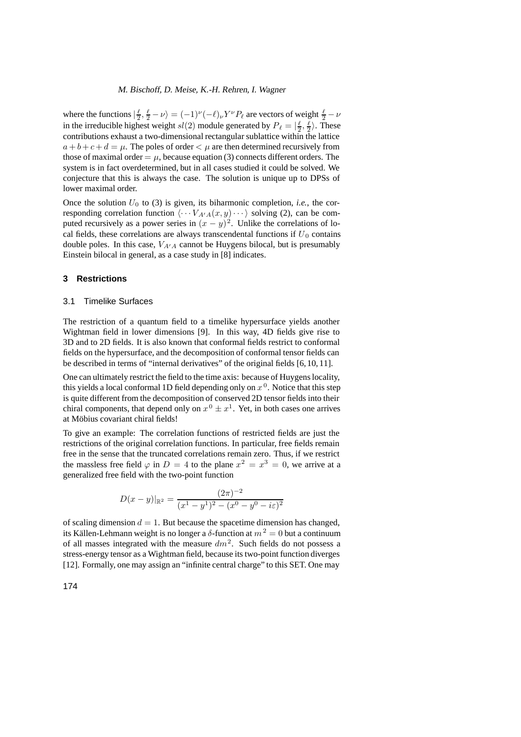where the functions  $|\frac{\ell}{2}, \frac{\ell}{2} - \nu\rangle = (-1)^{\nu} (-\ell)_{\nu} Y^{\nu} P_{\ell}$  are vectors of weight  $\frac{\ell}{2} - \nu$ in the irreducible highest weight  $sl(2)$  module generated by  $P_\ell = |\frac{\ell}{2}, \frac{\ell}{2}\rangle$ . These contributions exhaust a two-dimensional rectangular sublattice within the lattice  $a + b + c + d = \mu$ . The poles of order  $\lt \mu$  are then determined recursively from those of maximal order  $= \mu$ , because equation (3) connects different orders. The system is in fact overdetermined, but in all cases studied it could be solved. We conjecture that this is always the case. The solution is unique up to DPSs of lower maximal order.

Once the solution  $U_0$  to (3) is given, its biharmonic completion, *i.e.*, the corresponding correlation function  $\langle \cdots V_{A'A}(x,y) \cdots \rangle$  solving (2), can be computed recursively as a power series in  $(x - y)^2$ . Unlike the correlations of local fields, these correlations are always transcendental functions if  $U_0$  contains double poles. In this case,  $V_{A'A}$  cannot be Huygens bilocal, but is presumably Einstein bilocal in general, as a case study in [8] indicates.

## **3 Restrictions**

#### 3.1 Timelike Surfaces

The restriction of a quantum field to a timelike hypersurface yields another Wightman field in lower dimensions [9]. In this way, 4D fields give rise to 3D and to 2D fields. It is also known that conformal fields restrict to conformal fields on the hypersurface, and the decomposition of conformal tensor fields can be described in terms of "internal derivatives" of the original fields [6, 10, 11].

One can ultimately restrict the field to the time axis: because of Huygens locality, this yields a local conformal 1D field depending only on  $x<sup>0</sup>$ . Notice that this step is quite different from the decomposition of conserved 2D tensor fields into their chiral components, that depend only on  $x^0 \pm x^1$ . Yet, in both cases one arrives at Möbius covariant chiral fields!

To give an example: The correlation functions of restricted fields are just the restrictions of the original correlation functions. In particular, free fields remain free in the sense that the truncated correlations remain zero. Thus, if we restrict the massless free field  $\varphi$  in  $D = 4$  to the plane  $x^2 = x^3 = 0$ , we arrive at a generalized free field with the two-point function

$$
D(x - y)|_{\mathbb{R}^2} = \frac{(2\pi)^{-2}}{(x^1 - y^1)^2 - (x^0 - y^0 - i\varepsilon)^2}
$$

of scaling dimension  $d = 1$ . But because the spacetime dimension has changed, its Källen-Lehmann weight is no longer a  $\delta$ -function at  $m^2 = 0$  but a continuum of all masses integrated with the measure  $dm^2$ . Such fields do not possess a stress-energy tensor as a Wightman field, because its two-point function diverges [12]. Formally, one may assign an "infinite central charge" to this SET. One may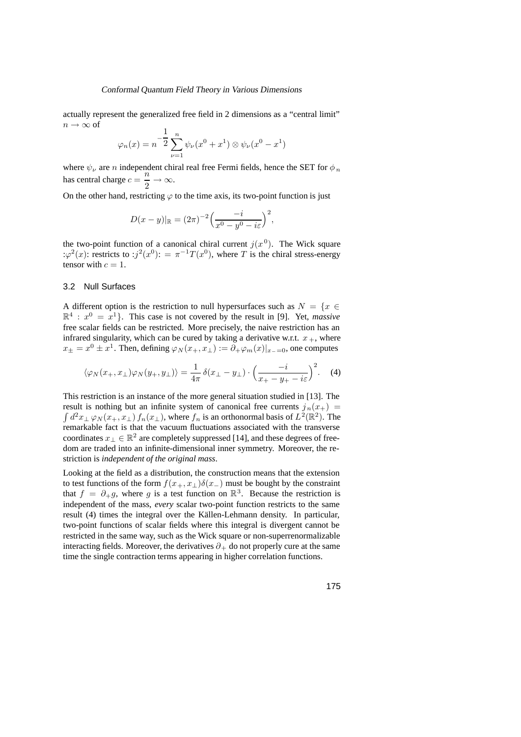actually represent the generalized free field in 2 dimensions as a "central limit"  $n \to \infty$  of

$$
\varphi_n(x) = n^{-\frac{1}{2}} \sum_{\nu=1}^n \psi_{\nu}(x^0 + x^1) \otimes \psi_{\nu}(x^0 - x^1)
$$

where  $\psi_{\nu}$  are  $n$  independent chiral real free Fermi fields, hence the SET for  $\phi_{n}$ has central charge  $c = \frac{n}{2} \rightarrow \infty$ .

On the other hand, restricting  $\varphi$  to the time axis, its two-point function is just

$$
D(x - y)|_{\mathbb{R}} = (2\pi)^{-2} \left( \frac{-i}{x^0 - y^0 - i\varepsilon} \right)^2,
$$

the two-point function of a canonical chiral current  $j(x^0)$ . The Wick square : $\varphi^2(x)$ : restricts to : $j^2(x^0)$ : =  $\pi^{-1}T(x^0)$ , where T is the chiral stress-energy tensor with  $c = 1$ .

# 3.2 Null Surfaces

A different option is the restriction to null hypersurfaces such as  $N = \{x \in$  $\mathbb{R}^4$  :  $x^0 = x^1$ . This case is not covered by the result in [9]. Yet, *massive* free scalar fields can be restricted. More precisely, the naive restriction has an infrared singularity, which can be cured by taking a derivative w.r.t.  $x_+$ , where  $x_{\pm} = x^0 \pm x^1$ . Then, defining  $\varphi_N(x_+, x_+) := \partial_+ \varphi_m(x)|_{x_0=0}$ , one computes

$$
\langle \varphi_N(x_+, x_\perp) \varphi_N(y_+, y_\perp) \rangle = \frac{1}{4\pi} \delta(x_\perp - y_\perp) \cdot \left(\frac{-i}{x_+ - y_+ - i\varepsilon}\right)^2.
$$
 (4)

This restriction is an instance of the more general situation studied in [13]. The result is nothing but an infinite system of canonical free currents  $j_n(x_+)$  $\int d^2x_\perp \varphi_N(x_+,x_\perp) f_n(x_\perp)$ , where  $f_n$  is an orthonormal basis of  $L^2(\mathbb{R}^2)$ . The remarkable fact is that the vacuum fluctuations associated with the transverse coordinates  $x_{\perp} \in \mathbb{R}^2$  are completely suppressed [14], and these degrees of freedom are traded into an infinite-dimensional inner symmetry. Moreover, the restriction is *independent of the original mass*.

Looking at the field as a distribution, the construction means that the extension to test functions of the form  $f(x_+, x_+)$ δ(x−) must be bought by the constraint that  $f = \partial_{+}g$ , where g is a test function on  $\mathbb{R}^{3}$ . Because the restriction is independent of the mass, *every* scalar two-point function restricts to the same result (4) times the integral over the Källen-Lehmann density. In particular, two-point functions of scalar fields where this integral is divergent cannot be restricted in the same way, such as the Wick square or non-superrenormalizable interacting fields. Moreover, the derivatives  $\partial_+$  do not properly cure at the same time the single contraction terms appearing in higher correlation functions.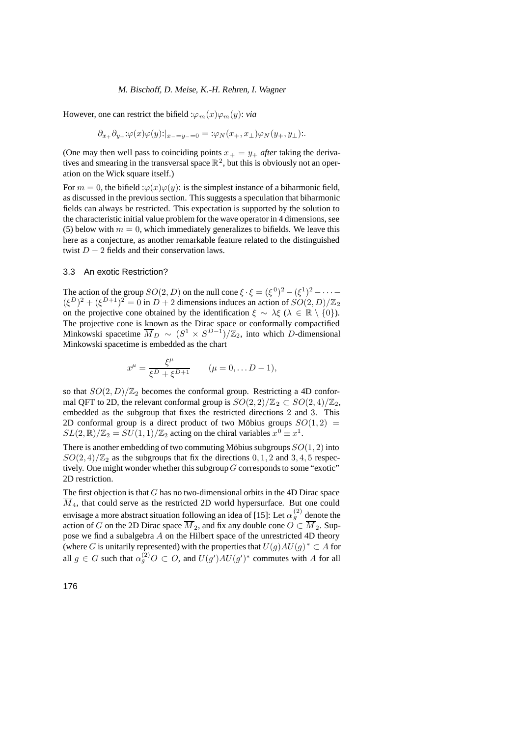However, one can restrict the bifield : $\varphi_m(x)\varphi_m(y)$ : *via* 

$$
\partial_{x_+}\partial_{y_+};\varphi(x)\varphi(y)\colon |_{x_-=y_-=0}=:\varphi_N(x_+,x_+)\varphi_N(y_+,y_+):
$$

(One may then well pass to coinciding points  $x_+ = y_+$  *after* taking the derivatives and smearing in the transversal space  $\mathbb{R}^2$ , but this is obviously not an operation on the Wick square itself.)

For  $m = 0$ , the bifield : $\varphi(x)\varphi(y)$ : is the simplest instance of a biharmonic field, as discussed in the previous section. This suggests a speculation that biharmonic fields can always be restricted. This expectation is supported by the solution to the characteristic initial value problem for the wave operator in 4 dimensions, see (5) below with  $m = 0$ , which immediately generalizes to bifields. We leave this here as a conjecture, as another remarkable feature related to the distinguished twist  $D - 2$  fields and their conservation laws.

# 3.3 An exotic Restriction?

The action of the group  $SO(2, D)$  on the null cone  $\xi \cdot \xi = (\xi^0)^2 - (\xi^1)^2 - \cdots$  $({\xi}^D)^2 + ({\xi}^{D+1})^2 = 0$  in  $D + 2$  dimensions induces an action of  $SO(2, D)/\mathbb{Z}_2$ on the projective cone obtained by the identification  $\xi \sim \lambda \xi$  ( $\lambda \in \mathbb{R} \setminus \{0\}$ ). The projective cone is known as the Dirac space or conformally compactified Minkowski spacetime  $\overline{M}_D \sim (S^1 \times S^{D-1})/\mathbb{Z}_2$ , into which D-dimensional Minkowski spacetime is embedded as the chart

$$
x^{\mu} = \frac{\xi^{\mu}}{\xi^D + \xi^{D+1}} \qquad (\mu = 0, \dots D - 1),
$$

so that  $SO(2, D)/\mathbb{Z}_2$  becomes the conformal group. Restricting a 4D conformal QFT to 2D, the relevant conformal group is  $SO(2, 2)/\mathbb{Z}_2 \subset SO(2, 4)/\mathbb{Z}_2$ , embedded as the subgroup that fixes the restricted directions 2 and 3. This 2D conformal group is a direct product of two Möbius groups  $SO(1, 2)$  =  $SL(2,\mathbb{R})/\mathbb{Z}_2 = SU(1,1)/\mathbb{Z}_2$  acting on the chiral variables  $x^0 \pm x^1$ .

There is another embedding of two commuting Möbius subgroups  $SO(1, 2)$  into  $SO(2, 4)/\mathbb{Z}_2$  as the subgroups that fix the directions 0, 1, 2 and 3, 4, 5 respectively. One might wonder whether this subgroup  $G$  corresponds to some "exotic" 2D restriction.

The first objection is that  $G$  has no two-dimensional orbits in the 4D Dirac space  $\overline{M}_4$ , that could serve as the restricted 2D world hypersurface. But one could envisage a more abstract situation following an idea of [15]: Let  $\alpha_g^{(2)}$  denote the action of G on the 2D Dirac space  $M_2$ , and fix any double cone  $O \subset M_2$ . Suppose we find a subalgebra A on the Hilbert space of the unrestricted 4D theory (where G is unitarily represented) with the properties that  $U(g)AU(g)^* \subset A$  for all  $g \in G$  such that  $\alpha_g^{(2)}O \subset O$ , and  $U(g')AU(g')^*$  commutes with A for all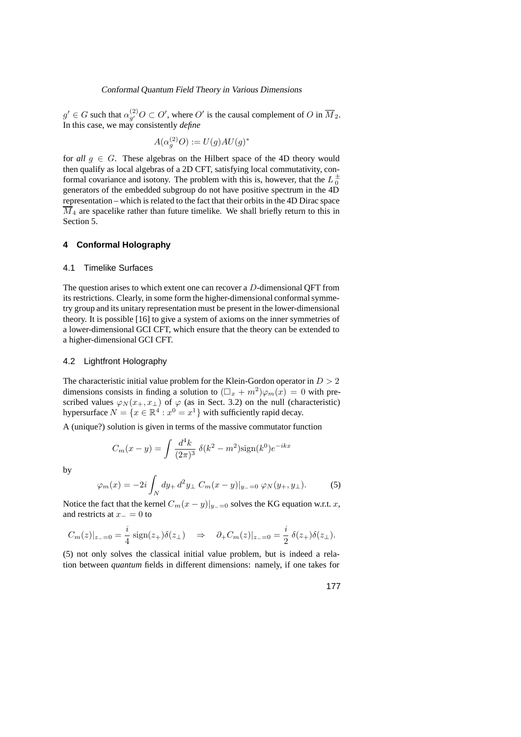$g' \in G$  such that  $\alpha_{g'}^{(2)}O \subset O'$ , where  $O'$  is the causal complement of  $O$  in  $\overline{M}_2$ . In this case, we may consistently *define*

$$
A(\alpha_g^{(2)}O):=U(g)AU(g)^*
$$

for *all*  $g \in G$ . These algebras on the Hilbert space of the 4D theory would then qualify as local algebras of a 2D CFT, satisfying local commutativity, conformal covariance and isotony. The problem with this is, however, that the  $L_0^{\pm}$ generators of the embedded subgroup do not have positive spectrum in the 4D representation – which is related to the fact that their orbits in the 4D Dirac space  $\overline{\hat{M}}_4$  are spacelike rather than future timelike. We shall briefly return to this in Section 5.

# **4 Conformal Holography**

#### 4.1 Timelike Surfaces

The question arises to which extent one can recover a D-dimensional QFT from its restrictions. Clearly, in some form the higher-dimensional conformal symmetry group and its unitary representation must be present in the lower-dimensional theory. It is possible [16] to give a system of axioms on the inner symmetries of a lower-dimensional GCI CFT, which ensure that the theory can be extended to a higher-dimensional GCI CFT.

# 4.2 Lightfront Holography

The characteristic initial value problem for the Klein-Gordon operator in  $D > 2$ dimensions consists in finding a solution to  $(\Box_x + m^2)\varphi_m(x)=0$  with prescribed values  $\varphi_N(x_+, x_\perp)$  of  $\varphi$  (as in Sect. 3.2) on the null (characteristic) hypersurface  $N = \{x \in \mathbb{R}^4 : x^0 = x^1\}$  with sufficiently rapid decay.

A (unique?) solution is given in terms of the massive commutator function

$$
C_m(x - y) = \int \frac{d^4k}{(2\pi)^3} \ \delta(k^2 - m^2) \text{sign}(k^0) e^{-ikx}
$$

by

$$
\varphi_m(x) = -2i \int_N dy_+ d^2 y_\perp C_m(x - y)|_{y_-=0} \varphi_N(y_+, y_\perp). \tag{5}
$$

Notice the fact that the kernel  $C_m(x-y)|_{y_0=0}$  solves the KG equation w.r.t. x, and restricts at  $x_-=0$  to

$$
C_m(z)|_{z=-0} = \frac{i}{4} \operatorname{sign}(z_+)\delta(z_\perp) \quad \Rightarrow \quad \partial_+ C_m(z)|_{z=-0} = \frac{i}{2} \delta(z_+)\delta(z_\perp).
$$

(5) not only solves the classical initial value problem, but is indeed a relation between *quantum* fields in different dimensions: namely, if one takes for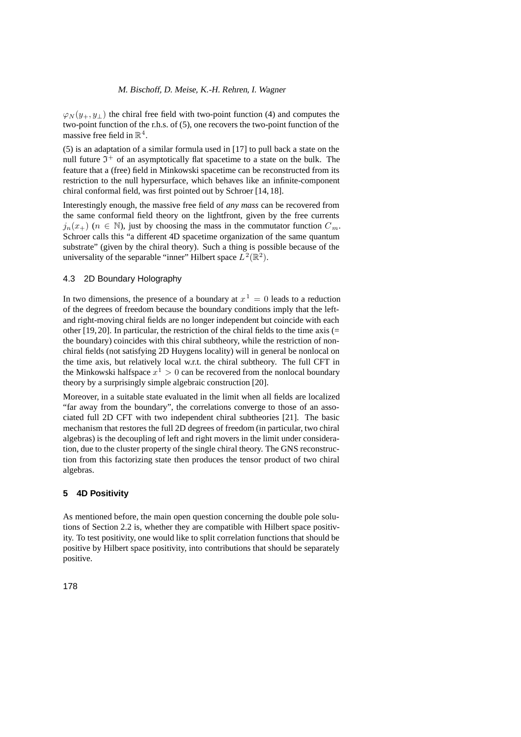$\varphi_N(y_+, y_\perp)$  the chiral free field with two-point function (4) and computes the two-point function of the r.h.s. of (5), one recovers the two-point function of the massive free field in  $\mathbb{R}^4$ .

(5) is an adaptation of a similar formula used in [17] to pull back a state on the null future  $\mathfrak{I}^+$  of an asymptotically flat spacetime to a state on the bulk. The feature that a (free) field in Minkowski spacetime can be reconstructed from its restriction to the null hypersurface, which behaves like an infinite-component chiral conformal field, was first pointed out by Schroer [14, 18].

Interestingly enough, the massive free field of *any mass* can be recovered from the same conformal field theory on the lightfront, given by the free currents  $j_n(x_+)$  ( $n \in \mathbb{N}$ ), just by choosing the mass in the commutator function  $C_m$ . Schroer calls this "a different 4D spacetime organization of the same quantum substrate" (given by the chiral theory). Such a thing is possible because of the universality of the separable "inner" Hilbert space  $L^2(\mathbb{R}^2)$ .

# 4.3 2D Boundary Holography

In two dimensions, the presence of a boundary at  $x^1 = 0$  leads to a reduction of the degrees of freedom because the boundary conditions imply that the leftand right-moving chiral fields are no longer independent but coincide with each other [19, 20]. In particular, the restriction of the chiral fields to the time axis (= the boundary) coincides with this chiral subtheory, while the restriction of nonchiral fields (not satisfying 2D Huygens locality) will in general be nonlocal on the time axis, but relatively local w.r.t. the chiral subtheory. The full CFT in the Minkowski halfspace  $x^1 > 0$  can be recovered from the nonlocal boundary theory by a surprisingly simple algebraic construction [20].

Moreover, in a suitable state evaluated in the limit when all fields are localized "far away from the boundary", the correlations converge to those of an associated full 2D CFT with two independent chiral subtheories [21]. The basic mechanism that restores the full 2D degrees of freedom (in particular, two chiral algebras) is the decoupling of left and right movers in the limit under consideration, due to the cluster property of the single chiral theory. The GNS reconstruction from this factorizing state then produces the tensor product of two chiral algebras.

# **5 4D Positivity**

As mentioned before, the main open question concerning the double pole solutions of Section 2.2 is, whether they are compatible with Hilbert space positivity. To test positivity, one would like to split correlation functions that should be positive by Hilbert space positivity, into contributions that should be separately positive.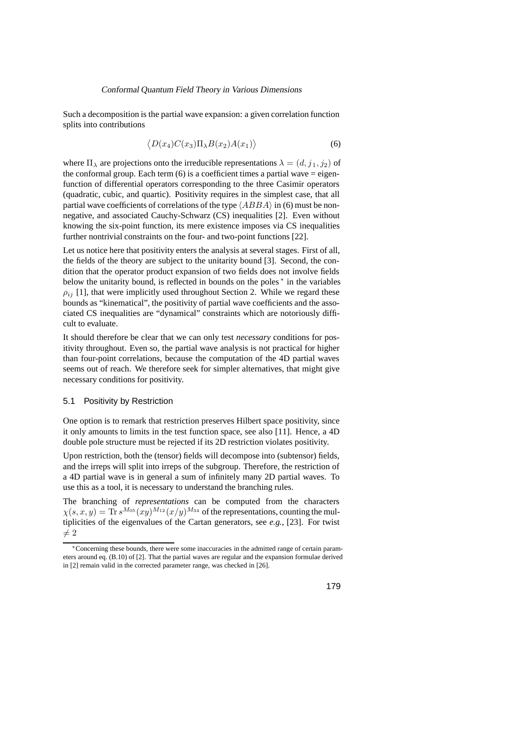Such a decomposition is the partial wave expansion: a given correlation function splits into contributions

$$
\langle D(x_4)C(x_3)\Pi_{\lambda}B(x_2)A(x_1)\rangle \tag{6}
$$

where  $\Pi_{\lambda}$  are projections onto the irreducible representations  $\lambda = (d, j_1, j_2)$  of the conformal group. Each term  $(6)$  is a coefficient times a partial wave  $=$  eigenfunction of differential operators corresponding to the three Casimir operators (quadratic, cubic, and quartic). Positivity requires in the simplest case, that all partial wave coefficients of correlations of the type  $\langle ABBA \rangle$  in (6) must be nonnegative, and associated Cauchy-Schwarz (CS) inequalities [2]. Even without knowing the six-point function, its mere existence imposes via CS inequalities further nontrivial constraints on the four- and two-point functions [22].

Let us notice here that positivity enters the analysis at several stages. First of all, the fields of the theory are subject to the unitarity bound [3]. Second, the condition that the operator product expansion of two fields does not involve fields below the unitarity bound, is reflected in bounds on the poles <sup>∗</sup> in the variables  $\rho_{ij}$  [1], that were implicitly used throughout Section 2. While we regard these bounds as "kinematical", the positivity of partial wave coefficients and the associated CS inequalities are "dynamical" constraints which are notoriously difficult to evaluate.

It should therefore be clear that we can only test *necessary* conditions for positivity throughout. Even so, the partial wave analysis is not practical for higher than four-point correlations, because the computation of the 4D partial waves seems out of reach. We therefore seek for simpler alternatives, that might give necessary conditions for positivity.

# 5.1 Positivity by Restriction

One option is to remark that restriction preserves Hilbert space positivity, since it only amounts to limits in the test function space, see also [11]. Hence, a 4D double pole structure must be rejected if its 2D restriction violates positivity.

Upon restriction, both the (tensor) fields will decompose into (subtensor) fields, and the irreps will split into irreps of the subgroup. Therefore, the restriction of a 4D partial wave is in general a sum of infinitely many 2D partial waves. To use this as a tool, it is necessary to understand the branching rules.

The branching of *representations* can be computed from the characters  $\chi(s, x, y) = \text{Tr} s^{M_{05}}(xy)^{M_{12}}(x/y)^{M_{34}}$  of the representations, counting the multiplicities of the eigenvalues of the Cartan generators, see *e.g.*, [23]. For twist  $\neq 2$ 

<sup>∗</sup>Concerning these bounds, there were some inaccuracies in the admitted range of certain parameters around eq. (B.10) of [2]. That the partial waves are regular and the expansion formulae derived in [2] remain valid in the corrected parameter range, was checked in [26].

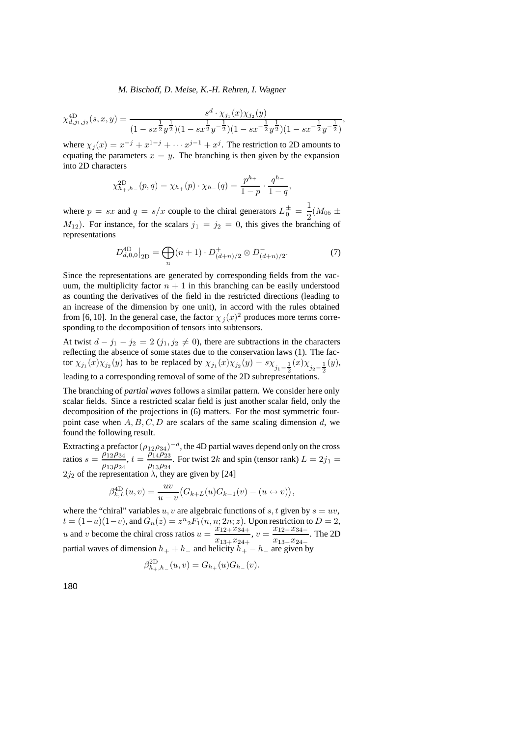$$
\chi_{d,j_1,j_2}^{\text{4D}}(s,x,y) = \frac{s^d \cdot \chi_{j_1}(x)\chi_{j_2}(y)}{(1 - sx^{\frac{1}{2}}y^{\frac{1}{2}})(1 - sx^{\frac{1}{2}}y^{-\frac{1}{2}})(1 - sx^{-\frac{1}{2}}y^{\frac{1}{2}})(1 - sx^{-\frac{1}{2}}y^{-\frac{1}{2}})},
$$

where  $\chi_i(x) = x^{-j} + x^{1-j} + \cdots + x^{j-1} + x^j$ . The restriction to 2D amounts to equating the parameters  $x = y$ . The branching is then given by the expansion into 2D characters

$$
\chi_{h_+,h_-}^{2D}(p,q) = \chi_{h_+}(p) \cdot \chi_{h_-}(q) = \frac{p^{h_+}}{1-p} \cdot \frac{q^{h_-}}{1-q}
$$

where  $p = sx$  and  $q = s/x$  couple to the chiral generators  $L_0^{\pm} = \frac{1}{2}(M_{05} \pm$  $M_{12}$ ). For instance, for the scalars  $j_1 = j_2 = 0$ , this gives the branching of representations

$$
D_{d,0,0}^{\text{4D}}\big|_{\text{2D}} = \bigoplus_{n} (n+1) \cdot D_{(d+n)/2}^+ \otimes D_{(d+n)/2}^-.
$$
 (7)

,

Since the representations are generated by corresponding fields from the vacuum, the multiplicity factor  $n + 1$  in this branching can be easily understood as counting the derivatives of the field in the restricted directions (leading to an increase of the dimension by one unit), in accord with the rules obtained from [6, 10]. In the general case, the factor  $\chi_j(x)^2$  produces more terms corresponding to the decomposition of tensors into subtensors.

At twist  $d - j_1 - j_2 = 2 (j_1, j_2 \neq 0)$ , there are subtractions in the characters reflecting the absence of some states due to the conservation laws (1). The factor  $\chi_{j_1}(x)\chi_{j_2}(y)$  has to be replaced by  $\chi_{j_1}(x)\chi_{j_2}(y) - s\chi_{j_1-\frac{1}{2}}(x)\chi_{j_2-\frac{1}{2}}(y)$ , leading to a corresponding removal of some of the 2D subrepresentations.

The branching of *partial waves* follows a similar pattern. We consider here only scalar fields. Since a restricted scalar field is just another scalar field, only the decomposition of the projections in (6) matters. For the most symmetric fourpoint case when  $A, B, C, D$  are scalars of the same scaling dimension d, we found the following result.

Extracting a prefactor  $(\rho_{12}\rho_{34})^{-d}$ , the 4D partial waves depend only on the cross ratios  $s = \frac{\rho_{12}\rho_{34}}{\rho_{13}\rho_{24}}$ ,  $t = \frac{\rho_{14}\rho_{23}}{\rho_{13}\rho_{24}}$ . For twist 2k and spin (tensor rank)  $L = 2j_1$  $2j_2$  of the representation  $\lambda$ , they are given by [24]

$$
\beta_{k,L}^{4D}(u,v) = \frac{uv}{u-v} (G_{k+L}(u)G_{k-1}(v) - (u \leftrightarrow v)),
$$

where the "chiral" variables u, v are algebraic functions of s, t given by  $s = uv$ ,  $t = (1-u)(1-v)$ , and  $G_n(z) = z^n{}_2F_1(n, n; 2n; z)$ . Upon restriction to  $D = 2$ , u and v become the chiral cross ratios  $u = \frac{x_{12}+x_{34+}}{x_{13}+x_{24+}}$ ,  $v = \frac{x_{12}-x_{34-}}{x_{13}-x_{24-}}$  $\frac{x_{12}-x_{34}-}{x_{13}-x_{24}-}$ . The 2D partial waves of dimension  $h_+ + h_-$  and helicity  $h_+ - h_-$  are given by

$$
\beta_{h_+,h_-}^{2D}(u,v) = G_{h_+}(u)G_{h_-}(v).
$$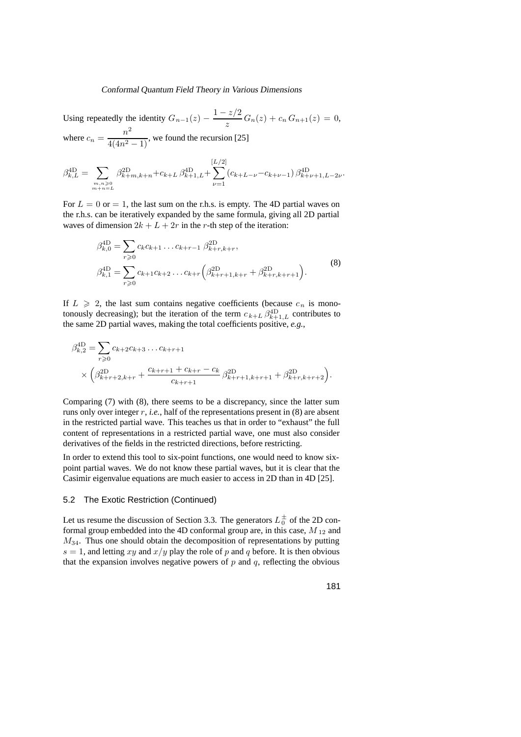Using repeatedly the identity  $G_{n-1}(z) - \frac{1-z/2}{z} G_n(z) + c_n G_{n+1}(z) = 0$ , where  $c_n = \frac{n^2}{4(4n^2 - 1)}$ , we found the recursion [25]

$$
\beta_{k,L}^{\text{4D}} = \sum_{\substack{m,n \geqslant 0 \\ m+n=L}} \beta_{k+m,k+n}^{\text{2D}} + c_{k+L} \beta_{k+1,L}^{\text{4D}} + \sum_{\nu=1}^{[L/2]} (c_{k+L-\nu} - c_{k+\nu-1}) \beta_{k+\nu+1,L-2\nu}^{\text{4D}}.
$$

For  $L = 0$  or  $= 1$ , the last sum on the r.h.s. is empty. The 4D partial waves on the r.h.s. can be iteratively expanded by the same formula, giving all 2D partial waves of dimension  $2k + L + 2r$  in the r-th step of the iteration:

$$
\beta_{k,0}^{\text{4D}} = \sum_{r \ge 0} c_k c_{k+1} \dots c_{k+r-1} \beta_{k+r,k+r}^{\text{2D}},
$$
\n
$$
\beta_{k,1}^{\text{4D}} = \sum_{r \ge 0} c_{k+1} c_{k+2} \dots c_{k+r} \left( \beta_{k+r+1,k+r}^{\text{2D}} + \beta_{k+r,k+r+1}^{\text{2D}} \right).
$$
\n(8)

If  $L \geqslant 2$ , the last sum contains negative coefficients (because  $c_n$  is monotonously decreasing); but the iteration of the term  $c_{k+L} \beta_{k+1,L}^{4D}$  contributes to the same 2D partial waves, making the total coefficients positive, *e.g.*,

$$
\beta_{k,2}^{\text{4D}} = \sum_{r \ge 0} c_{k+2} c_{k+3} \dots c_{k+r+1}
$$
\n
$$
\times \left( \beta_{k+r+2,k+r}^{2D} + \frac{c_{k+r+1} + c_{k+r} - c_k}{c_{k+r+1}} \beta_{k+r+1,k+r+1}^{2D} + \beta_{k+r,k+r+2}^{2D} \right).
$$

Comparing (7) with (8), there seems to be a discrepancy, since the latter sum runs only over integer r, *i.e.*, half of the representations present in (8) are absent in the restricted partial wave. This teaches us that in order to "exhaust" the full content of representations in a restricted partial wave, one must also consider derivatives of the fields in the restricted directions, before restricting.

In order to extend this tool to six-point functions, one would need to know sixpoint partial waves. We do not know these partial waves, but it is clear that the Casimir eigenvalue equations are much easier to access in 2D than in 4D [25].

### 5.2 The Exotic Restriction (Continued)

Let us resume the discussion of Section 3.3. The generators  $L_0^{\pm}$  of the 2D conformal group embedded into the 4D conformal group are, in this case,  $M_{12}$  and  $M_{34}$ . Thus one should obtain the decomposition of representations by putting  $s = 1$ , and letting xy and  $x/y$  play the role of p and q before. It is then obvious that the expansion involves negative powers of  $p$  and  $q$ , reflecting the obvious

181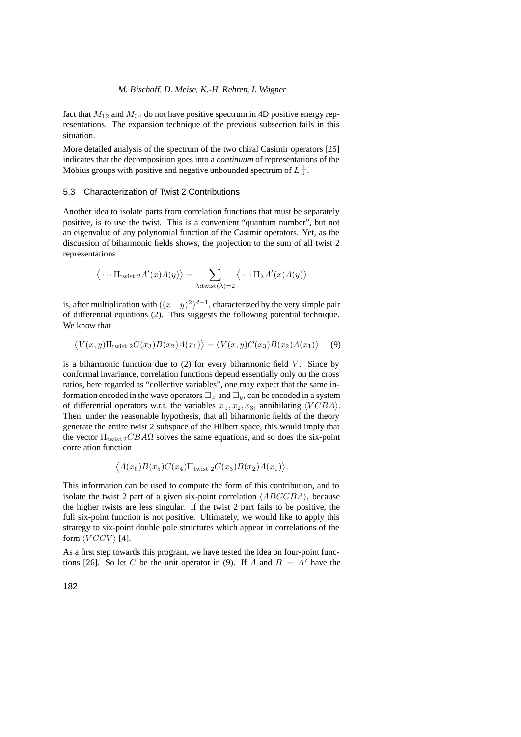fact that  $M_{12}$  and  $M_{34}$  do not have positive spectrum in 4D positive energy representations. The expansion technique of the previous subsection fails in this situation.

More detailed analysis of the spectrum of the two chiral Casimir operators [25] indicates that the decomposition goes into a *continuum* of representations of the Möbius groups with positive and negative unbounded spectrum of  $L_0^{\pm}$ .

# 5.3 Characterization of Twist 2 Contributions

Another idea to isolate parts from correlation functions that must be separately positive, is to use the twist. This is a convenient "quantum number", but not an eigenvalue of any polynomial function of the Casimir operators. Yet, as the discussion of biharmonic fields shows, the projection to the sum of all twist 2 representations

$$
\langle \cdots \Pi_{\text{twist } 2} A'(x) A(y) \rangle = \sum_{\lambda : \text{twist}(\lambda) = 2} \langle \cdots \Pi_{\lambda} A'(x) A(y) \rangle
$$

is, after multiplication with  $((x-y)^2)^{d-1}$ , characterized by the very simple pair of differential equations (2). This suggests the following potential technique. We know that

$$
\langle V(x,y)\Pi_{\text{twist }2}C(x_3)B(x_2)A(x_1)\rangle = \langle V(x,y)C(x_3)B(x_2)A(x_1)\rangle \tag{9}
$$

is a biharmonic function due to  $(2)$  for every biharmonic field V. Since by conformal invariance, correlation functions depend essentially only on the cross ratios, here regarded as "collective variables", one may expect that the same information encoded in the wave operators  $\Box_x$  and  $\Box_y$ , can be encoded in a system of differential operators w.r.t. the variables  $x_1, x_2, x_3$ , annihilating  $\langle VCBA \rangle$ . Then, under the reasonable hypothesis, that all biharmonic fields of the theory generate the entire twist 2 subspace of the Hilbert space, this would imply that the vector  $\Pi_{\text{twist 2}} CBA\Omega$  solves the same equations, and so does the six-point correlation function

$$
\langle A(x_6)B(x_5)C(x_4)\Pi_{\text{twist }2}C(x_3)B(x_2)A(x_1)\rangle.
$$

This information can be used to compute the form of this contribution, and to isolate the twist 2 part of a given six-point correlation  $\langle ABCCBA \rangle$ , because the higher twists are less singular. If the twist 2 part fails to be positive, the full six-point function is not positive. Ultimately, we would like to apply this strategy to six-point double pole structures which appear in correlations of the form  $\langle VCCV \rangle$  [4].

As a first step towards this program, we have tested the idea on four-point functions [26]. So let C be the unit operator in (9). If A and  $B = A'$  have the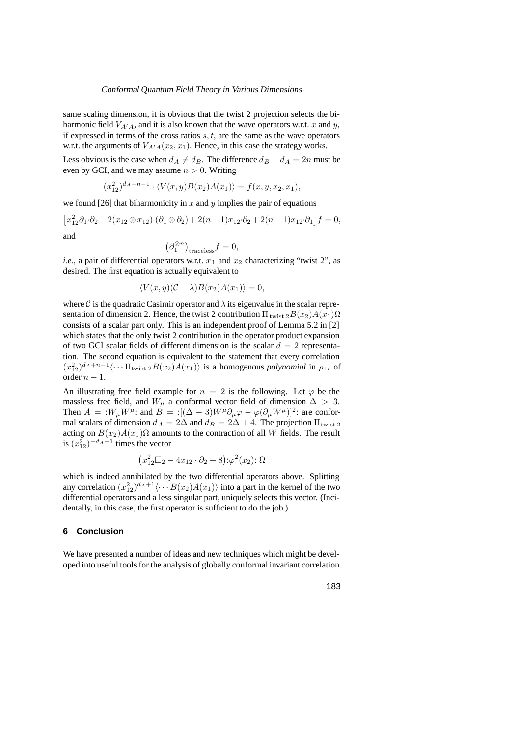same scaling dimension, it is obvious that the twist 2 projection selects the biharmonic field  $V_{A'A}$ , and it is also known that the wave operators w.r.t. x and y, if expressed in terms of the cross ratios  $s, t$ , are the same as the wave operators w.r.t. the arguments of  $V_{A'A}(x_2, x_1)$ . Hence, in this case the strategy works.

Less obvious is the case when  $d_A \neq d_B$ . The difference  $d_B - d_A = 2n$  must be even by GCI, and we may assume  $n > 0$ . Writing

$$
(x_{12}^2)^{d_A+n-1} \cdot \langle V(x,y)B(x_2)A(x_1) \rangle = f(x,y,x_2,x_1),
$$

we found [26] that biharmonicity in x and y implies the pair of equations

$$
[x_{12}^2 \partial_1 \cdot \partial_2 - 2(x_{12} \otimes x_{12}) \cdot (\partial_1 \otimes \partial_2) + 2(n-1)x_{12} \cdot \partial_2 + 2(n+1)x_{12} \cdot \partial_1]f = 0,
$$
  
and

$$
\left(\partial_1^{\otimes n}\right)_{{\rm traceless}}f=0,
$$

*i.e.*, a pair of differential operators w.r.t.  $x_1$  and  $x_2$  characterizing "twist 2", as desired. The first equation is actually equivalent to

$$
\langle V(x, y)(\mathcal{C} - \lambda)B(x_2)A(x_1) \rangle = 0,
$$

where C is the quadratic Casimir operator and  $\lambda$  its eigenvalue in the scalar representation of dimension 2. Hence, the twist 2 contribution  $\Pi_{\text{twist }2}B(x_2)A(x_1)\Omega$ consists of a scalar part only. This is an independent proof of Lemma 5.2 in [2] which states that the only twist 2 contribution in the operator product expansion of two GCI scalar fields of different dimension is the scalar  $d = 2$  representation. The second equation is equivalent to the statement that every correlation  $(x_{12}^2)^{d_A+n-1} \langle \cdots \Pi_{\text{twist } 2} B(x_2) A(x_1) \rangle$  is a homogenous *polynomial* in  $\rho_{1i}$  of order  $n - 1$ .

An illustrating free field example for  $n = 2$  is the following. Let  $\varphi$  be the massless free field, and  $W_{\mu}$  a conformal vector field of dimension  $\Delta > 3$ . Then  $A = :W_{\mu}W^{\mu}$ : and  $B = :[(\Delta - 3)W^{\mu}\partial_{\mu}\varphi - \varphi(\partial_{\mu}W^{\mu})]^2$ : are conformal scalars of dimension  $d_A = 2\Delta$  and  $d_B = 2\Delta + 4$ . The projection  $\Pi_{\text{twist 2}}$ acting on  $B(x_2)A(x_1)\Omega$  amounts to the contraction of all W fields. The result is  $(x_{12}^2)^{-d_A-1}$  times the vector

$$
(x_{12}^2\square_2 - 4x_{12}\cdot\partial_2 + 8)\mathpunct{:}\varphi^2(x_2)\mathpunct{:}\Omega
$$

which is indeed annihilated by the two differential operators above. Splitting any correlation  $(x_{12}^2)^{d_A+1} \langle \cdots B(x_2)A(x_1) \rangle$  into a part in the kernel of the two differential operators and a less singular part, uniquely selects this vector. (Incidentally, in this case, the first operator is sufficient to do the job.)

# **6 Conclusion**

We have presented a number of ideas and new techniques which might be developed into useful tools for the analysis of globally conformal invariant correlation

183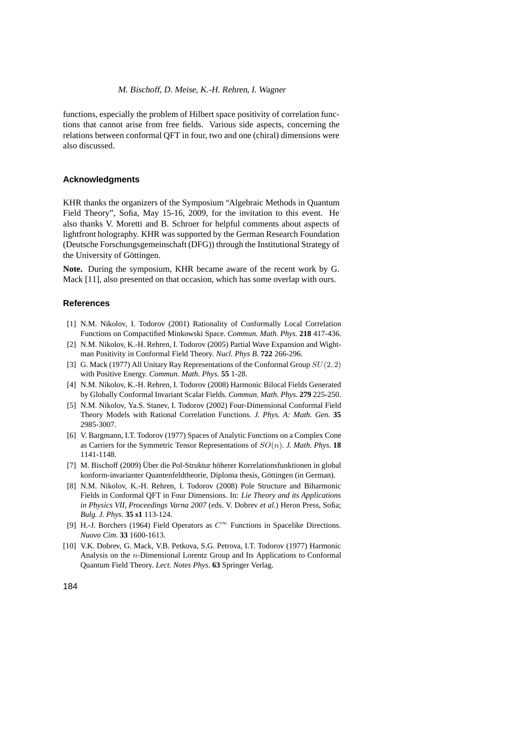functions, especially the problem of Hilbert space positivity of correlation functions that cannot arise from free fields. Various side aspects, concerning the relations between conformal QFT in four, two and one (chiral) dimensions were also discussed.

# **Acknowledgments**

KHR thanks the organizers of the Symposium "Algebraic Methods in Quantum Field Theory", Sofia, May 15-16, 2009, for the invitation to this event. He also thanks V. Moretti and B. Schroer for helpful comments about aspects of lightfront holography. KHR was supported by the German Research Foundation (Deutsche Forschungsgemeinschaft (DFG)) through the Institutional Strategy of the University of Göttingen.

**Note.** During the symposium, KHR became aware of the recent work by G. Mack [11], also presented on that occasion, which has some overlap with ours.

# **References**

- [1] N.M. Nikolov, I. Todorov (2001) Rationality of Conformally Local Correlation Functions on Compactified Minkowski Space. *Commun. Math. Phys.* **218** 417-436.
- [2] N.M. Nikolov, K.-H. Rehren, I. Todorov (2005) Partial Wave Expansion and Wightman Positivity in Conformal Field Theory. *Nucl. Phys B*. **722** 266-296.
- [3] G. Mack (1977) All Unitary Ray Representations of the Conformal Group  $SU(2, 2)$ with Positive Energy. *Commun. Math. Phys.* **55** 1-28.
- [4] N.M. Nikolov, K.-H. Rehren, I. Todorov (2008) Harmonic Bilocal Fields Generated by Globally Conformal Invariant Scalar Fields. *Commun. Math. Phys*. **279** 225-250.
- [5] N.M. Nikolov, Ya.S. Stanev, I. Todorov (2002) Four-Dimensional Conformal Field Theory Models with Rational Correlation Functions. *J. Phys. A: Math. Gen*. **35** 2985-3007.
- [6] V. Bargmann, I.T. Todorov (1977) Spaces of Analytic Functions on a Complex Cone as Carriers for the Symmetric Tensor Representations of SO(n). *J. Math. Phys*. **18** 1141-1148.
- [7] M. Bischoff (2009) Über die Pol-Struktur höherer Korrelationsfunktionen in global konform-invarianter Quantenfeldtheorie, Diploma thesis, Göttingen (in German).
- [8] N.M. Nikolov, K.-H. Rehren, I. Todorov (2008) Pole Structure and Biharmonic Fields in Conformal QFT in Four Dimensions. In: *Lie Theory and its Applications in Physics VII, Proceedings Varna 2007* (eds. V. Dobrev *et al.*) Heron Press, Sofia; *Bulg. J. Phys*. **35 s1** 113-124.
- [9] H.-J. Borchers (1964) Field Operators as  $C^{\infty}$  Functions in Spacelike Directions. *Nuovo Cim*. **33** 1600-1613.
- [10] V.K. Dobrev, G. Mack, V.B. Petkova, S.G. Petrova, I.T. Todorov (1977) Harmonic Analysis on the n-Dimensional Lorentz Group and Its Applications to Conformal Quantum Field Theory. *Lect. Notes Phys*. **63** Springer Verlag.